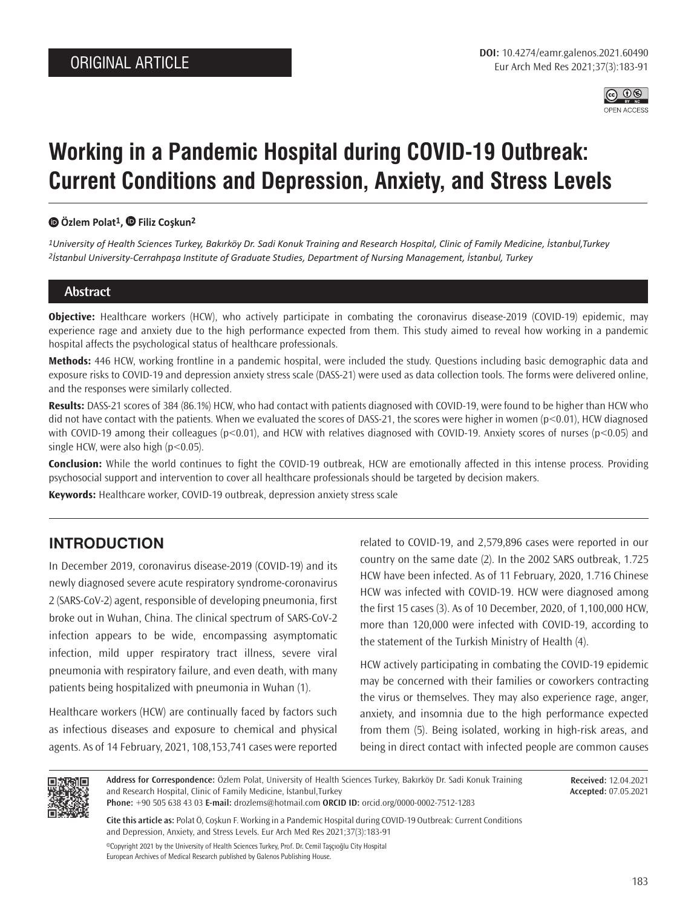

# **Working in a Pandemic Hospital during COVID-19 Outbreak: Current Conditions and Depression, Anxiety, and Stress Levels**

### **[Ö](https://orcid.org/0000-0002-7512-1283)zlem Polat1,Filiz Coşkun2**

*1University of Health Sciences Turkey, Bakırköy Dr. Sadi Konuk Training and Research Hospital, Clinic of Family Medicine, İstanbul,Turkey 2İstanbul University-Cerrahpaşa Institute of Graduate Studies, Department of Nursing Management, İstanbul, Turkey*

### **Abstract**

**Objective:** Healthcare workers (HCW), who actively participate in combating the coronavirus disease-2019 (COVID-19) epidemic, may experience rage and anxiety due to the high performance expected from them. This study aimed to reveal how working in a pandemic hospital affects the psychological status of healthcare professionals.

**Methods:** 446 HCW, working frontline in a pandemic hospital, were included the study. Questions including basic demographic data and exposure risks to COVID-19 and depression anxiety stress scale (DASS-21) were used as data collection tools. The forms were delivered online, and the responses were similarly collected.

**Results:** DASS-21 scores of 384 (86.1%) HCW, who had contact with patients diagnosed with COVID-19, were found to be higher than HCW who did not have contact with the patients. When we evaluated the scores of DASS-21, the scores were higher in women (p<0.01), HCW diagnosed with COVID-19 among their colleagues (p<0.01), and HCW with relatives diagnosed with COVID-19. Anxiety scores of nurses (p<0.05) and single HCW, were also high  $(p<0.05)$ .

**Conclusion:** While the world continues to fight the COVID-19 outbreak, HCW are emotionally affected in this intense process. Providing psychosocial support and intervention to cover all healthcare professionals should be targeted by decision makers.

**Keywords:** Healthcare worker, COVID-19 outbreak, depression anxiety stress scale

# **INTRODUCTION**

In December 2019, coronavirus disease-2019 (COVID-19) and its newly diagnosed severe acute respiratory syndrome-coronavirus 2 (SARS-CoV-2) agent, responsible of developing pneumonia, first broke out in Wuhan, China. The clinical spectrum of SARS-CoV-2 infection appears to be wide, encompassing asymptomatic infection, mild upper respiratory tract illness, severe viral pneumonia with respiratory failure, and even death, with many patients being hospitalized with pneumonia in Wuhan (1).

Healthcare workers (HCW) are continually faced by factors such as infectious diseases and exposure to chemical and physical agents. As of 14 February, 2021, 108,153,741 cases were reported

related to COVID-19, and 2,579,896 cases were reported in our country on the same date (2). In the 2002 SARS outbreak, 1.725 HCW have been infected. As of 11 February, 2020, 1.716 Chinese HCW was infected with COVID-19. HCW were diagnosed among the first 15 cases (3). As of 10 December, 2020, of 1,100,000 HCW, more than 120,000 were infected with COVID-19, according to the statement of the Turkish Ministry of Health (4).

HCW actively participating in combating the COVID-19 epidemic may be concerned with their families or coworkers contracting the virus or themselves. They may also experience rage, anger, anxiety, and insomnia due to the high performance expected from them (5). Being isolated, working in high-risk areas, and being in direct contact with infected people are common causes



**Address for Correspondence:** Özlem Polat, University of Health Sciences Turkey, Bakırköy Dr. Sadi Konuk Training and Research Hospital, Clinic of Family Medicine, İstanbul,Turkey **Phone:** +90 505 638 43 03 **E-mail:** drozlems@hotmail.com **ORCID ID:** orcid.org/0000-0002-7512-1283

**Received:** 12.04.2021 **Accepted:** 07.05.2021

**Cite this article as:** Polat Ö, Coşkun F. Working in a Pandemic Hospital during COVID-19 Outbreak: Current Conditions and Depression, Anxiety, and Stress Levels. Eur Arch Med Res 2021;37(3):183-91

©Copyright 2021 by the University of Health Sciences Turkey, Prof. Dr. Cemil Taşçıoğlu City Hospital European Archives of Medical Research published by Galenos Publishing House.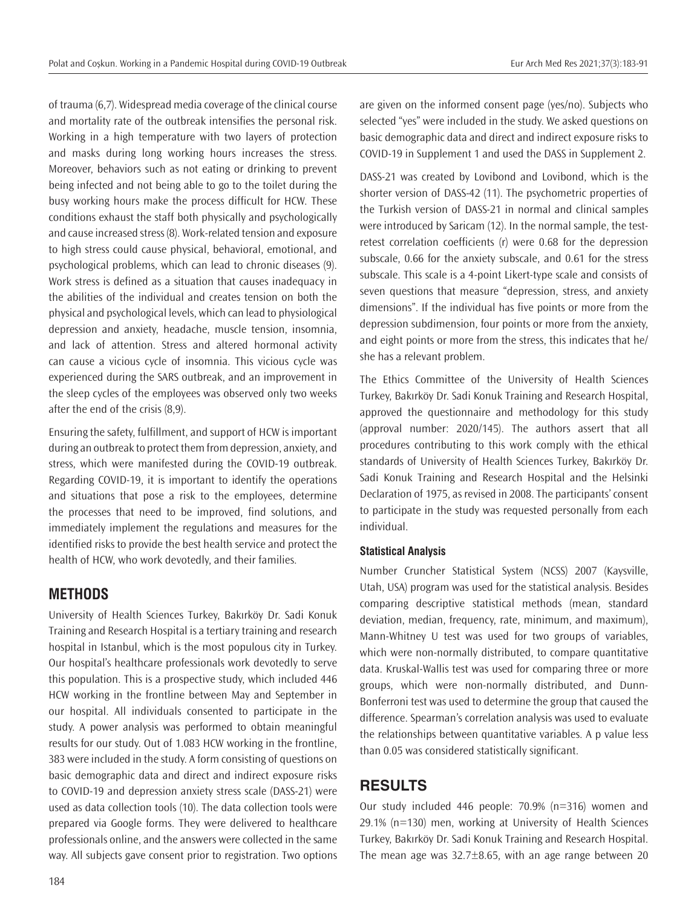of trauma (6,7). Widespread media coverage of the clinical course and mortality rate of the outbreak intensifies the personal risk. Working in a high temperature with two layers of protection and masks during long working hours increases the stress. Moreover, behaviors such as not eating or drinking to prevent being infected and not being able to go to the toilet during the busy working hours make the process difficult for HCW. These conditions exhaust the staff both physically and psychologically and cause increased stress (8). Work-related tension and exposure to high stress could cause physical, behavioral, emotional, and psychological problems, which can lead to chronic diseases (9). Work stress is defined as a situation that causes inadequacy in the abilities of the individual and creates tension on both the physical and psychological levels, which can lead to physiological depression and anxiety, headache, muscle tension, insomnia, and lack of attention. Stress and altered hormonal activity can cause a vicious cycle of insomnia. This vicious cycle was experienced during the SARS outbreak, and an improvement in the sleep cycles of the employees was observed only two weeks after the end of the crisis (8,9).

Ensuring the safety, fulfillment, and support of HCW is important during an outbreak to protect them from depression, anxiety, and stress, which were manifested during the COVID-19 outbreak. Regarding COVID-19, it is important to identify the operations and situations that pose a risk to the employees, determine the processes that need to be improved, find solutions, and immediately implement the regulations and measures for the identified risks to provide the best health service and protect the health of HCW, who work devotedly, and their families.

## **METHODS**

University of Health Sciences Turkey, Bakırköy Dr. Sadi Konuk Training and Research Hospital is a tertiary training and research hospital in Istanbul, which is the most populous city in Turkey. Our hospital's healthcare professionals work devotedly to serve this population. This is a prospective study, which included 446 HCW working in the frontline between May and September in our hospital. All individuals consented to participate in the study. A power analysis was performed to obtain meaningful results for our study. Out of 1.083 HCW working in the frontline, 383 were included in the study. A form consisting of questions on basic demographic data and direct and indirect exposure risks to COVID-19 and depression anxiety stress scale (DASS-21) were used as data collection tools (10). The data collection tools were prepared via Google forms. They were delivered to healthcare professionals online, and the answers were collected in the same way. All subjects gave consent prior to registration. Two options are given on the informed consent page (yes/no). Subjects who selected "yes" were included in the study. We asked questions on basic demographic data and direct and indirect exposure risks to COVID-19 in Supplement 1 and used the DASS in Supplement 2.

DASS-21 was created by Lovibond and Lovibond, which is the shorter version of DASS-42 (11). The psychometric properties of the Turkish version of DASS-21 in normal and clinical samples were introduced by Saricam (12). In the normal sample, the testretest correlation coefficients (r) were 0.68 for the depression subscale, 0.66 for the anxiety subscale, and 0.61 for the stress subscale. This scale is a 4-point Likert-type scale and consists of seven questions that measure "depression, stress, and anxiety dimensions". If the individual has five points or more from the depression subdimension, four points or more from the anxiety, and eight points or more from the stress, this indicates that he/ she has a relevant problem.

The Ethics Committee of the University of Health Sciences Turkey, Bakırköy Dr. Sadi Konuk Training and Research Hospital, approved the questionnaire and methodology for this study (approval number: 2020/145). The authors assert that all procedures contributing to this work comply with the ethical standards of University of Health Sciences Turkey, Bakırköy Dr. Sadi Konuk Training and Research Hospital and the Helsinki Declaration of 1975, as revised in 2008. The participants' consent to participate in the study was requested personally from each individual.

## **Statistical Analysis**

Number Cruncher Statistical System (NCSS) 2007 (Kaysville, Utah, USA) program was used for the statistical analysis. Besides comparing descriptive statistical methods (mean, standard deviation, median, frequency, rate, minimum, and maximum), Mann-Whitney U test was used for two groups of variables, which were non-normally distributed, to compare quantitative data. Kruskal-Wallis test was used for comparing three or more groups, which were non-normally distributed, and Dunn-Bonferroni test was used to determine the group that caused the difference. Spearman's correlation analysis was used to evaluate the relationships between quantitative variables. A p value less than 0.05 was considered statistically significant.

# **RESULTS**

Our study included 446 people: 70.9% (n=316) women and 29.1% (n=130) men, working at University of Health Sciences Turkey, Bakırköy Dr. Sadi Konuk Training and Research Hospital. The mean age was  $32.7\pm8.65$ , with an age range between 20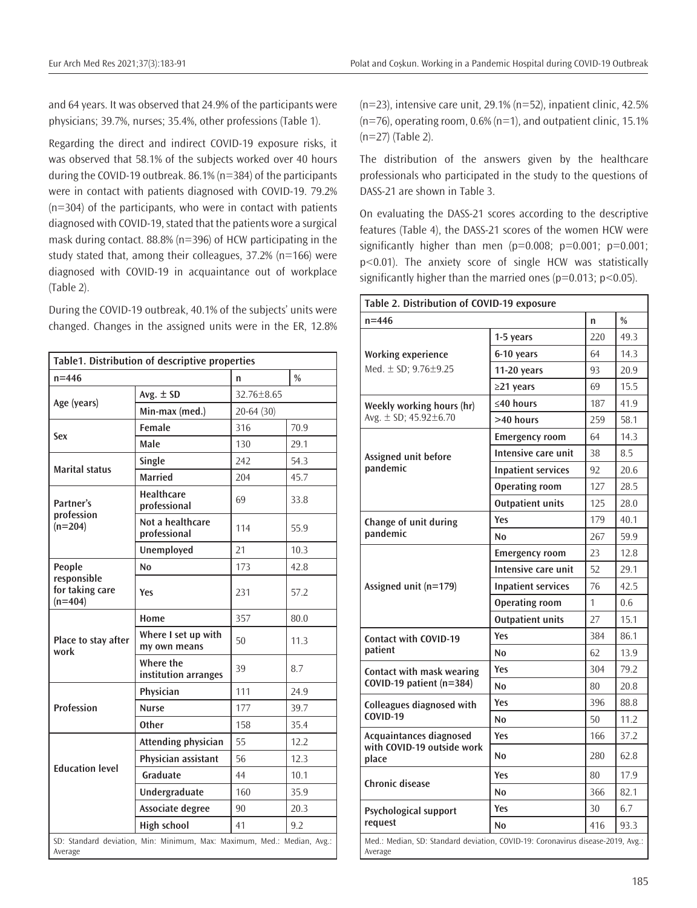and 64 years. It was observed that 24.9% of the participants were physicians; 39.7%, nurses; 35.4%, other professions (Table 1).

Regarding the direct and indirect COVID-19 exposure risks, it was observed that 58.1% of the subjects worked over 40 hours during the COVID-19 outbreak. 86.1% (n=384) of the participants were in contact with patients diagnosed with COVID-19. 79.2% (n=304) of the participants, who were in contact with patients diagnosed with COVID-19, stated that the patients wore a surgical mask during contact. 88.8% (n=396) of HCW participating in the study stated that, among their colleagues, 37.2% (n=166) were diagnosed with COVID-19 in acquaintance out of workplace (Table 2).

During the COVID-19 outbreak, 40.1% of the subjects' units were changed. Changes in the assigned units were in the ER, 12.8%

| Table1. Distribution of descriptive properties                                     |                                     |                |      |  |  |  |
|------------------------------------------------------------------------------------|-------------------------------------|----------------|------|--|--|--|
| $n = 446$                                                                          | n                                   | $\%$           |      |  |  |  |
| Age (years)                                                                        | Avg. $\pm$ SD                       | $32.76 + 8.65$ |      |  |  |  |
|                                                                                    | Min-max (med.)                      | $20 - 64(30)$  |      |  |  |  |
| Sex                                                                                | Female                              | 316            | 70.9 |  |  |  |
|                                                                                    | Male                                | 130            | 29.1 |  |  |  |
| <b>Marital status</b>                                                              | Single                              | 242            | 54.3 |  |  |  |
|                                                                                    | <b>Married</b>                      | 204            | 45.7 |  |  |  |
| Partner's                                                                          | <b>Healthcare</b><br>professional   | 69             | 33.8 |  |  |  |
| profession<br>$(n=204)$                                                            | Not a healthcare<br>professional    | 114            | 55.9 |  |  |  |
|                                                                                    | Unemployed                          | 21             | 10.3 |  |  |  |
| People                                                                             | N <sub>0</sub>                      | 173            | 42.8 |  |  |  |
| responsible<br>for taking care<br>$(n=404)$                                        | Yes                                 | 231            | 57.2 |  |  |  |
|                                                                                    | Home                                | 357            | 80.0 |  |  |  |
| Place to stay after<br>work                                                        | Where I set up with<br>my own means | 50             | 11.3 |  |  |  |
|                                                                                    | Where the<br>institution arranges   | 39             | 8.7  |  |  |  |
|                                                                                    | Physician                           | 111            | 24.9 |  |  |  |
| <b>Profession</b>                                                                  | <b>Nurse</b>                        | 177            | 39.7 |  |  |  |
|                                                                                    | <b>Other</b>                        | 158            | 35.4 |  |  |  |
|                                                                                    | Attending physician                 | 55             | 12.2 |  |  |  |
| <b>Education level</b>                                                             | Physician assistant                 | 56             | 12.3 |  |  |  |
|                                                                                    | Graduate                            | 44             | 10.1 |  |  |  |
|                                                                                    | Undergraduate                       | 160            | 35.9 |  |  |  |
|                                                                                    | Associate degree                    | 90             | 20.3 |  |  |  |
|                                                                                    | <b>High school</b>                  | 41             | 9.2  |  |  |  |
| SD: Standard deviation, Min: Minimum, Max: Maximum, Med.: Median, Avg.:<br>Average |                                     |                |      |  |  |  |

 $(n=23)$ , intensive care unit, 29.1%  $(n=52)$ , inpatient clinic, 42.5% (n=76), operating room, 0.6% (n=1), and outpatient clinic, 15.1% (n=27) (Table 2).

The distribution of the answers given by the healthcare professionals who participated in the study to the questions of DASS-21 are shown in Table 3.

On evaluating the DASS-21 scores according to the descriptive features (Table 4), the DASS-21 scores of the women HCW were significantly higher than men  $(p=0.008; p=0.001; p=0.001;$ p<0.01). The anxiety score of single HCW was statistically significantly higher than the married ones ( $p=0.013$ ;  $p<0.05$ ).

| Table 2. Distribution of COVID-19 exposure                                                 |                           |               |      |  |  |  |
|--------------------------------------------------------------------------------------------|---------------------------|---------------|------|--|--|--|
| $n = 446$                                                                                  | n                         | $\frac{0}{0}$ |      |  |  |  |
|                                                                                            | 1-5 years                 | 220           | 49.3 |  |  |  |
| <b>Working experience</b>                                                                  | 6-10 years                | 64            | 14.3 |  |  |  |
| Med. $\pm$ SD; 9.76 $\pm$ 9.25                                                             | 11-20 years               | 93            | 20.9 |  |  |  |
|                                                                                            | $\geq$ 21 years           | 69            | 15.5 |  |  |  |
| Weekly working hours (hr)                                                                  | ≤40 hours                 | 187           | 41.9 |  |  |  |
| Avg. $\pm$ SD; 45.92 $\pm$ 6.70                                                            | >40 hours                 | 259           | 58.1 |  |  |  |
|                                                                                            | <b>Emergency room</b>     | 64            | 14.3 |  |  |  |
| Assigned unit before                                                                       | Intensive care unit       | 38            | 8.5  |  |  |  |
| pandemic                                                                                   | <b>Inpatient services</b> | 92            | 20.6 |  |  |  |
|                                                                                            | <b>Operating room</b>     | 127           | 28.5 |  |  |  |
|                                                                                            | <b>Outpatient units</b>   | 125           | 28.0 |  |  |  |
| Change of unit during                                                                      | Yes                       | 179           | 40.1 |  |  |  |
| pandemic                                                                                   | N <sub>0</sub>            | 267           | 59.9 |  |  |  |
|                                                                                            | <b>Emergency room</b>     | 23            | 12.8 |  |  |  |
|                                                                                            | Intensive care unit       | 52            | 29.1 |  |  |  |
| Assigned unit (n=179)                                                                      | <b>Inpatient services</b> | 76            | 42.5 |  |  |  |
|                                                                                            | <b>Operating room</b>     | 1             | 0.6  |  |  |  |
|                                                                                            | <b>Outpatient units</b>   | 27            | 15.1 |  |  |  |
| <b>Contact with COVID-19</b>                                                               | Yes                       | 384           | 86.1 |  |  |  |
| patient                                                                                    | No                        | 62            | 13.9 |  |  |  |
| Contact with mask wearing                                                                  | Yes                       | 304           | 79.2 |  |  |  |
| COVID-19 patient (n=384)                                                                   | N <sub>0</sub>            | 80            | 20.8 |  |  |  |
| Colleagues diagnosed with                                                                  | Yes                       | 396           | 88.8 |  |  |  |
| <b>COVID-19</b>                                                                            | N <sub>0</sub>            | 50            | 11.2 |  |  |  |
| Acquaintances diagnosed                                                                    | Yes                       | 166           | 37.2 |  |  |  |
| with COVID-19 outside work<br>place                                                        | N <sub>0</sub>            | 280           | 62.8 |  |  |  |
| Chronic disease                                                                            | Yes                       | 80            | 17.9 |  |  |  |
|                                                                                            | N <sub>0</sub>            | 366           | 82.1 |  |  |  |
| <b>Psychological support</b>                                                               | Yes                       | 30            | 6.7  |  |  |  |
| request                                                                                    | No                        | 416           | 93.3 |  |  |  |
| Med.: Median, SD: Standard deviation, COVID-19: Coronavirus disease-2019, Avg.:<br>Average |                           |               |      |  |  |  |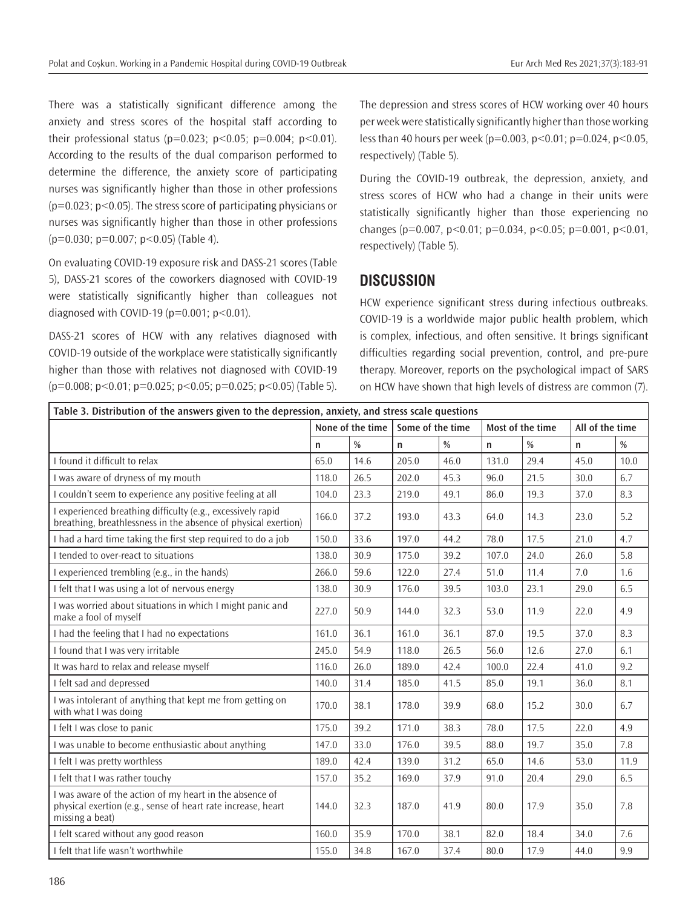There was a statistically significant difference among the anxiety and stress scores of the hospital staff according to their professional status ( $p=0.023$ ;  $p<0.05$ ;  $p=0.004$ ;  $p<0.01$ ). According to the results of the dual comparison performed to determine the difference, the anxiety score of participating nurses was significantly higher than those in other professions  $(p=0.023; p<0.05)$ . The stress score of participating physicians or nurses was significantly higher than those in other professions  $(p=0.030; p=0.007; p<0.05)$  (Table 4).

On evaluating COVID-19 exposure risk and DASS-21 scores (Table 5), DASS-21 scores of the coworkers diagnosed with COVID-19 were statistically significantly higher than colleagues not diagnosed with COVID-19 ( $p=0.001$ ;  $p<0.01$ ).

DASS-21 scores of HCW with any relatives diagnosed with COVID-19 outside of the workplace were statistically significantly higher than those with relatives not diagnosed with COVID-19  $(p=0.008; p<0.01; p=0.025; p<0.05; p=0.025; p<0.05)$  (Table 5).

The depression and stress scores of HCW working over 40 hours per week were statistically significantly higher than those working less than 40 hours per week ( $p=0.003$ ,  $p<0.01$ ;  $p=0.024$ ,  $p<0.05$ , respectively) (Table 5).

During the COVID-19 outbreak, the depression, anxiety, and stress scores of HCW who had a change in their units were statistically significantly higher than those experiencing no changes ( $p=0.007$ ,  $p<0.01$ ;  $p=0.034$ ,  $p<0.05$ ;  $p=0.001$ ,  $p<0.01$ , respectively) (Table 5).

## **DISCUSSION**

HCW experience significant stress during infectious outbreaks. COVID-19 is a worldwide major public health problem, which is complex, infectious, and often sensitive. It brings significant difficulties regarding social prevention, control, and pre-pure therapy. Moreover, reports on the psychological impact of SARS on HCW have shown that high levels of distress are common (7).

| Table 3. Distribution of the answers given to the depression, anxiety, and stress scale questions                                          |                  |               |                  |      |                  |               |                 |               |
|--------------------------------------------------------------------------------------------------------------------------------------------|------------------|---------------|------------------|------|------------------|---------------|-----------------|---------------|
|                                                                                                                                            | None of the time |               | Some of the time |      | Most of the time |               | All of the time |               |
|                                                                                                                                            | n                | $\frac{0}{0}$ | n                | $\%$ | $\mathsf{n}$     | $\frac{0}{0}$ | $\mathsf{n}$    | $\frac{0}{0}$ |
| I found it difficult to relax                                                                                                              | 65.0             | 14.6          | 205.0            | 46.0 | 131.0            | 29.4          | 45.0            | 10.0          |
| I was aware of dryness of my mouth                                                                                                         | 118.0            | 26.5          | 202.0            | 45.3 | 96.0             | 21.5          | 30.0            | 6.7           |
| I couldn't seem to experience any positive feeling at all                                                                                  | 104.0            | 23.3          | 219.0            | 49.1 | 86.0             | 19.3          | 37.0            | 8.3           |
| experienced breathing difficulty (e.g., excessively rapid<br>breathing, breathlessness in the absence of physical exertion)                | 166.0            | 37.2          | 193.0            | 43.3 | 64.0             | 14.3          | 23.0            | 5.2           |
| I had a hard time taking the first step required to do a job                                                                               | 150.0            | 33.6          | 197.0            | 44.2 | 78.0             | 17.5          | 21.0            | 4.7           |
| I tended to over-react to situations                                                                                                       | 138.0            | 30.9          | 175.0            | 39.2 | 107.0            | 24.0          | 26.0            | 5.8           |
| I experienced trembling (e.g., in the hands)                                                                                               | 266.0            | 59.6          | 122.0            | 27.4 | 51.0             | 11.4          | 7.0             | 1.6           |
| I felt that I was using a lot of nervous energy                                                                                            | 138.0            | 30.9          | 176.0            | 39.5 | 103.0            | 23.1          | 29.0            | 6.5           |
| I was worried about situations in which I might panic and<br>make a fool of myself                                                         | 227.0            | 50.9          | 144.0            | 32.3 | 53.0             | 11.9          | 22.0            | 4.9           |
| I had the feeling that I had no expectations                                                                                               | 161.0            | 36.1          | 161.0            | 36.1 | 87.0             | 19.5          | 37.0            | 8.3           |
| I found that I was very irritable                                                                                                          | 245.0            | 54.9          | 118.0            | 26.5 | 56.0             | 12.6          | 27.0            | 6.1           |
| It was hard to relax and release myself                                                                                                    | 116.0            | 26.0          | 189.0            | 42.4 | 100.0            | 22.4          | 41.0            | 9.2           |
| I felt sad and depressed                                                                                                                   |                  | 31.4          | 185.0            | 41.5 | 85.0             | 19.1          | 36.0            | 8.1           |
| I was intolerant of anything that kept me from getting on<br>with what I was doing                                                         | 170.0            | 38.1          | 178.0            | 39.9 | 68.0             | 15.2          | 30.0            | 6.7           |
| I felt I was close to panic                                                                                                                | 175.0            | 39.2          | 171.0            | 38.3 | 78.0             | 17.5          | 22.0            | 4.9           |
| I was unable to become enthusiastic about anything                                                                                         | 147.0            | 33.0          | 176.0            | 39.5 | 88.0             | 19.7          | 35.0            | 7.8           |
| I felt I was pretty worthless                                                                                                              | 189.0            | 42.4          | 139.0            | 31.2 | 65.0             | 14.6          | 53.0            | 11.9          |
| I felt that I was rather touchy                                                                                                            | 157.0            | 35.2          | 169.0            | 37.9 | 91.0             | 20.4          | 29.0            | 6.5           |
| I was aware of the action of my heart in the absence of<br>physical exertion (e.g., sense of heart rate increase, heart<br>missing a beat) | 144.0            | 32.3          | 187.0            | 41.9 | 80.0             | 17.9          | 35.0            | 7.8           |
| I felt scared without any good reason                                                                                                      | 160.0            | 35.9          | 170.0            | 38.1 | 82.0             | 18.4          | 34.0            | 7.6           |
| I felt that life wasn't worthwhile                                                                                                         | 155.0            | 34.8          | 167.0            | 37.4 | 80.0             | 17.9          | 44.0            | 9.9           |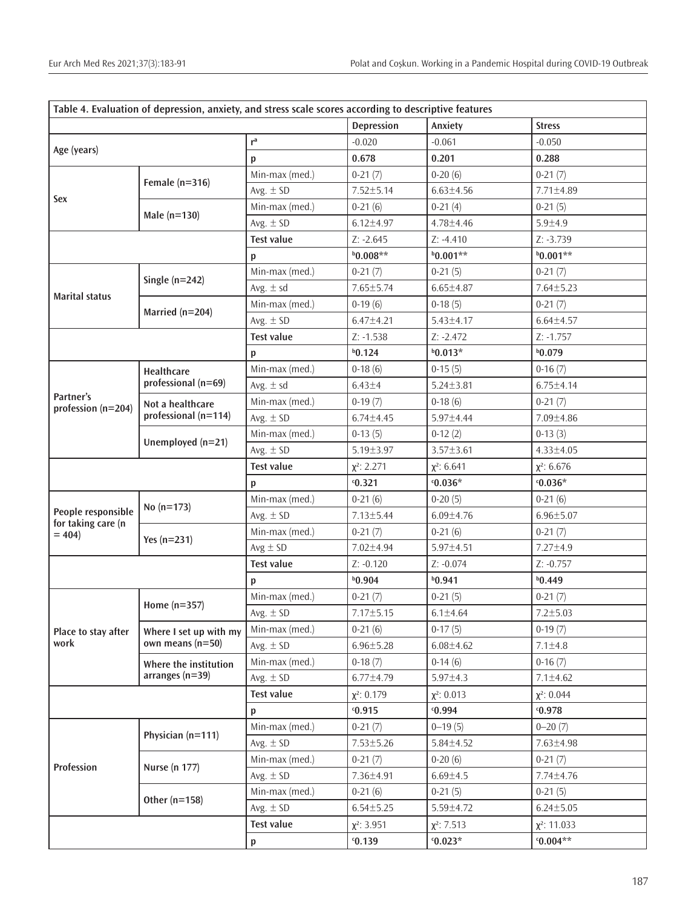|                                 | Table 4. Evaluation of depression, anxiety, and stress scale scores according to descriptive features |                   |                   |                  |                   |
|---------------------------------|-------------------------------------------------------------------------------------------------------|-------------------|-------------------|------------------|-------------------|
|                                 |                                                                                                       |                   | <b>Depression</b> | Anxiety          | <b>Stress</b>     |
| Age (years)                     |                                                                                                       | r <sup>a</sup>    | $-0.020$          | $-0.061$         | $-0.050$          |
|                                 |                                                                                                       | р                 | 0.678             | 0.201            | 0.288             |
|                                 |                                                                                                       | Min-max (med.)    | $0-21(7)$         | $0-20(6)$        | $0-21(7)$         |
|                                 | Female $(n=316)$                                                                                      | Avg. $\pm$ SD     | 7.52±5.14         | $6.63 \pm 4.56$  | 7.71±4.89         |
| Sex                             |                                                                                                       | Min-max (med.)    | $0-21(6)$         | $0-21(4)$        | $0-21(5)$         |
|                                 | Male $(n=130)$                                                                                        | Avg. $\pm$ SD     | $6.12 \pm 4.97$   | 4.78±4.46        | $5.9 + 4.9$       |
|                                 |                                                                                                       | <b>Test value</b> | $Z: -2.645$       | $Z: -4.410$      | $Z: -3.739$       |
|                                 |                                                                                                       | p                 | $*80.008**$       | $b0.001**$       | $b0.001**$        |
|                                 |                                                                                                       | Min-max (med.)    | $0-21(7)$         | $0-21(5)$        | $0-21(7)$         |
|                                 | Single $(n=242)$                                                                                      | Avg. $\pm$ sd     | $7.65 \pm 5.74$   | $6.65 \pm 4.87$  | $7.64 \pm 5.23$   |
| <b>Marital status</b>           |                                                                                                       | Min-max (med.)    | $0-19(6)$         | $0-18(5)$        | $0-21(7)$         |
|                                 | Married (n=204)                                                                                       | Avg. $\pm$ SD     | $6.47 + 4.21$     | $5.43 \pm 4.17$  | $6.64 \pm 4.57$   |
|                                 |                                                                                                       | <b>Test value</b> | $Z: -1.538$       | $Z: -2.472$      | $Z: -1.757$       |
|                                 |                                                                                                       | р                 | $b$ 0.124         | $b0.013*$        | b0.079            |
|                                 | Healthcare                                                                                            | Min-max (med.)    | $0-18(6)$         | $0-15(5)$        | $0-16(7)$         |
|                                 | professional (n=69)                                                                                   | Avg. $\pm$ sd     | $6.43 \pm 4$      | $5.24 \pm 3.81$  | $6.75 \pm 4.14$   |
| Partner's<br>profession (n=204) | Not a healthcare                                                                                      | Min-max (med.)    | $0-19(7)$         | $0-18(6)$        | $0-21(7)$         |
|                                 | professional (n=114)                                                                                  | Avg. $\pm$ SD     | $6.74 \pm 4.45$   | 5.97±4.44        | 7.09±4.86         |
|                                 |                                                                                                       | Min-max (med.)    | $0-13(5)$         | $0-12(2)$        | $0-13(3)$         |
|                                 | Unemployed (n=21)                                                                                     |                   | $5.19 \pm 3.97$   | $3.57 \pm 3.61$  | $4.33 \pm 4.05$   |
|                                 |                                                                                                       | <b>Test value</b> | $\chi^2$ : 2.271  | $\chi^2$ : 6.641 | $\chi^2$ : 6.676  |
|                                 |                                                                                                       | p                 | 0.321             | $0.036*$         | $0.036*$          |
|                                 | No $(n=173)$<br>Yes $(n=231)$                                                                         | Min-max (med.)    | $0-21(6)$         | $0-20(5)$        | $0-21(6)$         |
| People responsible              |                                                                                                       | Avg. $\pm$ SD     | $7.13 \pm 5.44$   | $6.09 \pm 4.76$  | $6.96 \pm 5.07$   |
| for taking care (n<br>$= 404$   |                                                                                                       | Min-max (med.)    | $0-21(7)$         | $0-21(6)$        | $0-21(7)$         |
|                                 |                                                                                                       | $Avg \pm SD$      | 7.02±4.94         | 5.97±4.51        | 7.27±4.9          |
|                                 |                                                                                                       | <b>Test value</b> | $Z: -0.120$       | $Z: -0.074$      | $Z: -0.757$       |
|                                 |                                                                                                       | р                 | b0.904            | b0.941           | $b$ 0.449         |
|                                 |                                                                                                       | Min-max (med.)    | $0-21(7)$         | $0-21(5)$        | $0-21(7)$         |
|                                 | Home $(n=357)$<br>Where I set up with my<br>own means $(n=50)$                                        | Avg. $\pm$ SD     | $7.17 \pm 5.15$   | $6.1 \pm 4.64$   | $7.2 \pm 5.03$    |
| Place to stay after             |                                                                                                       | Min-max (med.)    | $0-21(6)$         | $0-17(5)$        | $0-19(7)$         |
| work                            |                                                                                                       | Avg. $\pm$ SD     | $6.96 \pm 5.28$   | $6.08 + 4.62$    | $7.1 \pm 4.8$     |
|                                 | Where the institution                                                                                 | Min-max (med.)    | $0-18(7)$         | $0-14(6)$        | $0-16(7)$         |
|                                 | arranges $(n=39)$                                                                                     | Avg. $\pm$ SD     | $6.77 \pm 4.79$   | $5.97 \pm 4.3$   | $7.1 \pm 4.62$    |
|                                 |                                                                                                       | <b>Test value</b> | $\chi^2$ : 0.179  | $\chi^2$ : 0.013 | $\chi^2$ : 0.044  |
|                                 |                                                                                                       | p                 | 0.915             | 0.994            | 0.978             |
| Profession                      |                                                                                                       | Min-max (med.)    | $0-21(7)$         | $0 - 19(5)$      | $0 - 20(7)$       |
|                                 | Physician (n=111)                                                                                     | Avg. $\pm$ SD     | $7.53 \pm 5.26$   | $5.84 \pm 4.52$  | 7.63±4.98         |
|                                 |                                                                                                       | Min-max (med.)    | $0-21(7)$         | $0-20(6)$        | $0-21(7)$         |
|                                 | Nurse (n 177)                                                                                         | Avg. $\pm$ SD     | 7.36±4.91         | $6.69 \pm 4.5$   | 7.74±4.76         |
|                                 |                                                                                                       | Min-max (med.)    | $0-21(6)$         | $0-21(5)$        | $0-21(5)$         |
|                                 | Other $(n=158)$                                                                                       | Avg. $\pm$ SD     | $6.54 \pm 5.25$   | $5.59 \pm 4.72$  | $6.24 \pm 5.05$   |
|                                 |                                                                                                       |                   | $\chi^2$ : 3.951  | $\chi^2$ : 7.513 | $\chi^2$ : 11.033 |
|                                 |                                                                                                       | p                 | 0.139             | $0.023*$         | $0.004**$         |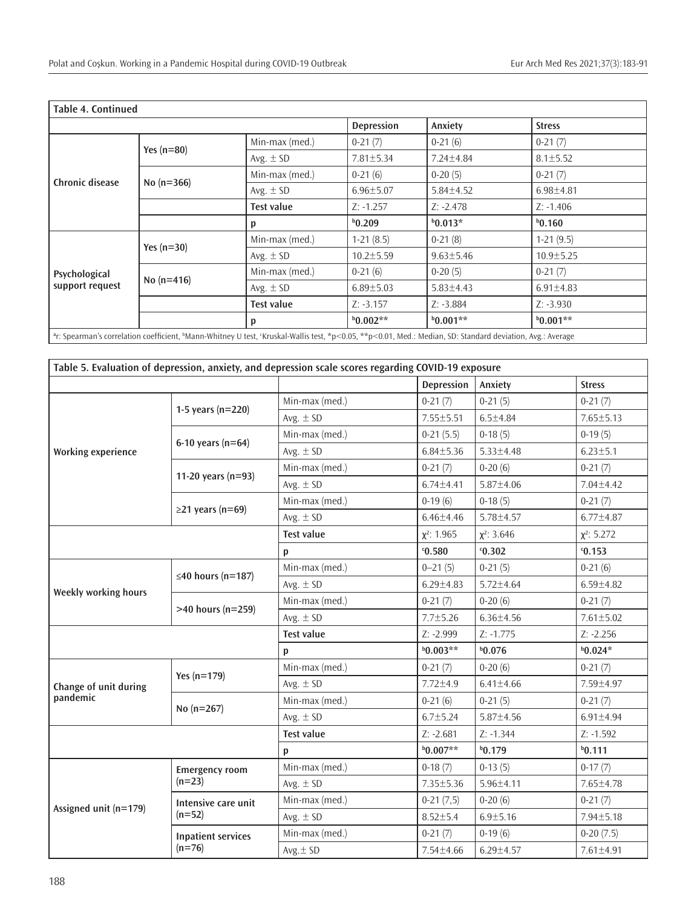| Table 4. Continued                                                                                                                                                                |              |                   |                   |                 |                 |  |  |
|-----------------------------------------------------------------------------------------------------------------------------------------------------------------------------------|--------------|-------------------|-------------------|-----------------|-----------------|--|--|
|                                                                                                                                                                                   |              |                   | <b>Depression</b> | Anxiety         | <b>Stress</b>   |  |  |
|                                                                                                                                                                                   |              | Min-max (med.)    | $0-21(7)$         | $0-21(6)$       | $0-21(7)$       |  |  |
|                                                                                                                                                                                   | Yes $(n=80)$ | Avg. $\pm$ SD     | $7.81 \pm 5.34$   | $7.24 \pm 4.84$ | $8.1 \pm 5.52$  |  |  |
| <b>Chronic disease</b>                                                                                                                                                            |              | Min-max (med.)    | $0-21(6)$         | $0-20(5)$       | $0-21(7)$       |  |  |
|                                                                                                                                                                                   | No $(n=366)$ | Avg. $\pm$ SD     | $6.96 \pm 5.07$   | $5.84 \pm 4.52$ | $6.98{\pm}4.81$ |  |  |
|                                                                                                                                                                                   |              | Test value        | $Z: -1.257$       | $Z: -2.478$     | $Z: -1.406$     |  |  |
|                                                                                                                                                                                   |              | p                 | $b$ 0.209         | $b$ 0.013*      | $b$ 0.160       |  |  |
|                                                                                                                                                                                   | Yes $(n=30)$ | Min-max (med.)    | $1-21(8.5)$       | $0-21(8)$       | $1-21(9.5)$     |  |  |
|                                                                                                                                                                                   |              | Avg. $\pm$ SD     | $10.2 \pm 5.59$   | $9.63 \pm 5.46$ | $10.9 \pm 5.25$ |  |  |
| Psychological<br>support request                                                                                                                                                  | No $(n=416)$ | Min-max (med.)    | $0-21(6)$         | $0-20(5)$       | $0-21(7)$       |  |  |
|                                                                                                                                                                                   |              | Avg. $\pm$ SD     | $6.89 \pm 5.03$   | $5.83 \pm 4.43$ | $6.91 \pm 4.83$ |  |  |
|                                                                                                                                                                                   |              | <b>Test value</b> | $Z: -3.157$       | $Z: -3.884$     | $Z: -3.930$     |  |  |
|                                                                                                                                                                                   |              | p                 | $b0.002**$        | $b0.001**$      | $b0.001**$      |  |  |
| <sup>a</sup> r: Spearman's correlation coefficient, <sup>b</sup> Mann-Whitney U test, Kruskal-Wallis test, *p<0.05, **p<0.01, Med.: Median, SD: Standard deviation, Avg.: Average |              |                   |                   |                 |                 |  |  |

| Table 5. Evaluation of depression, anxiety, and depression scale scores regarding COVID-19 exposure |                                   |                   |                   |                  |                  |  |  |
|-----------------------------------------------------------------------------------------------------|-----------------------------------|-------------------|-------------------|------------------|------------------|--|--|
|                                                                                                     |                                   |                   | <b>Depression</b> | Anxiety          | <b>Stress</b>    |  |  |
|                                                                                                     | 1-5 years ( $n=220$ )             | Min-max (med.)    | $0-21(7)$         | $0-21(5)$        | $0-21(7)$        |  |  |
|                                                                                                     |                                   | Avg. $\pm$ SD     | $7.55 \pm 5.51$   | $6.5 + 4.84$     | $7.65 \pm 5.13$  |  |  |
|                                                                                                     |                                   | Min-max (med.)    | $0-21(5.5)$       | $0-18(5)$        | $0-19(5)$        |  |  |
| <b>Working experience</b>                                                                           | 6-10 years ( $n=64$ )             | Avg. $\pm$ SD     | $6.84 \pm 5.36$   | $5.33 \pm 4.48$  | $6.23 \pm 5.1$   |  |  |
|                                                                                                     | 11-20 years (n=93)                | Min-max (med.)    | $0-21(7)$         | $0-20(6)$        | $0-21(7)$        |  |  |
|                                                                                                     |                                   | Avg. $\pm$ SD     | $6.74 \pm 4.41$   | 5.87±4.06        | $7.04 \pm 4.42$  |  |  |
|                                                                                                     |                                   | Min-max (med.)    | $0-19(6)$         | $0-18(5)$        | $0-21(7)$        |  |  |
|                                                                                                     | $\geq$ 21 years (n=69)            | Avg. $\pm$ SD     | $6.46 \pm 4.46$   | $5.78 \pm 4.57$  | $6.77 \pm 4.87$  |  |  |
|                                                                                                     |                                   | <b>Test value</b> | $\chi^2$ : 1.965  | $\chi^2$ : 3.646 | $\chi^2$ : 5.272 |  |  |
|                                                                                                     |                                   | p                 | 0.580             | 0.302            | 0.153            |  |  |
|                                                                                                     | $\leq$ 40 hours (n=187)           | Min-max (med.)    | $0 - 21(5)$       | $0-21(5)$        | $0-21(6)$        |  |  |
| Weekly working hours                                                                                |                                   | Avg. $\pm$ SD     | $6.29 \pm 4.83$   | 5.72±4.64        | $6.59 \pm 4.82$  |  |  |
|                                                                                                     | $>40$ hours (n=259)               | Min-max (med.)    | $0-21(7)$         | $0-20(6)$        | $0-21(7)$        |  |  |
|                                                                                                     |                                   | Avg. $\pm$ SD     | $7.7 \pm 5.26$    | $6.36 \pm 4.56$  | $7.61 \pm 5.02$  |  |  |
|                                                                                                     |                                   | <b>Test value</b> | $Z: -2.999$       | $Z: -1.775$      | $Z: -2.256$      |  |  |
|                                                                                                     |                                   | p                 | $b0.003**$        | b0.076           | $b0.024*$        |  |  |
|                                                                                                     | Yes $(n=179)$                     | Min-max (med.)    | $0-21(7)$         | $0-20(6)$        | $0-21(7)$        |  |  |
| Change of unit during                                                                               |                                   | Avg. $\pm$ SD     | $7.72 \pm 4.9$    | $6.41 \pm 4.66$  | 7.59±4.97        |  |  |
| pandemic                                                                                            | No $(n=267)$                      | Min-max (med.)    | $0-21(6)$         | $0-21(5)$        | $0-21(7)$        |  |  |
|                                                                                                     |                                   | Avg. $\pm$ SD     | $6.7 \pm 5.24$    | $5.87 \pm 4.56$  | $6.91 \pm 4.94$  |  |  |
|                                                                                                     |                                   | <b>Test value</b> | $Z: -2.681$       | $Z: -1.344$      | $Z: -1.592$      |  |  |
|                                                                                                     |                                   | $\mathsf{p}$      | $b0.007**$        | $b$ 0.179        | $b$ 0.111        |  |  |
|                                                                                                     | <b>Emergency room</b><br>$(n=23)$ | Min-max (med.)    | $0-18(7)$         | $0-13(5)$        | $0-17(7)$        |  |  |
| Assigned unit (n=179)                                                                               |                                   | Avg. $\pm$ SD     | 7.35±5.36         | $5.96 \pm 4.11$  | 7.65±4.78        |  |  |
|                                                                                                     | Intensive care unit<br>$(n=52)$   | Min-max (med.)    | $0-21(7,5)$       | $0-20(6)$        | $0-21(7)$        |  |  |
|                                                                                                     |                                   | Avg. $\pm$ SD     | $8.52 \pm 5.4$    | $6.9 \pm 5.16$   | $7.94 \pm 5.18$  |  |  |
|                                                                                                     | <b>Inpatient services</b>         | Min-max (med.)    | $0-21(7)$         | $0-19(6)$        | $0-20(7.5)$      |  |  |
|                                                                                                     | $(n=76)$                          | Avg.± SD          | 7.54±4.66         | $6.29 \pm 4.57$  | 7.61±4.91        |  |  |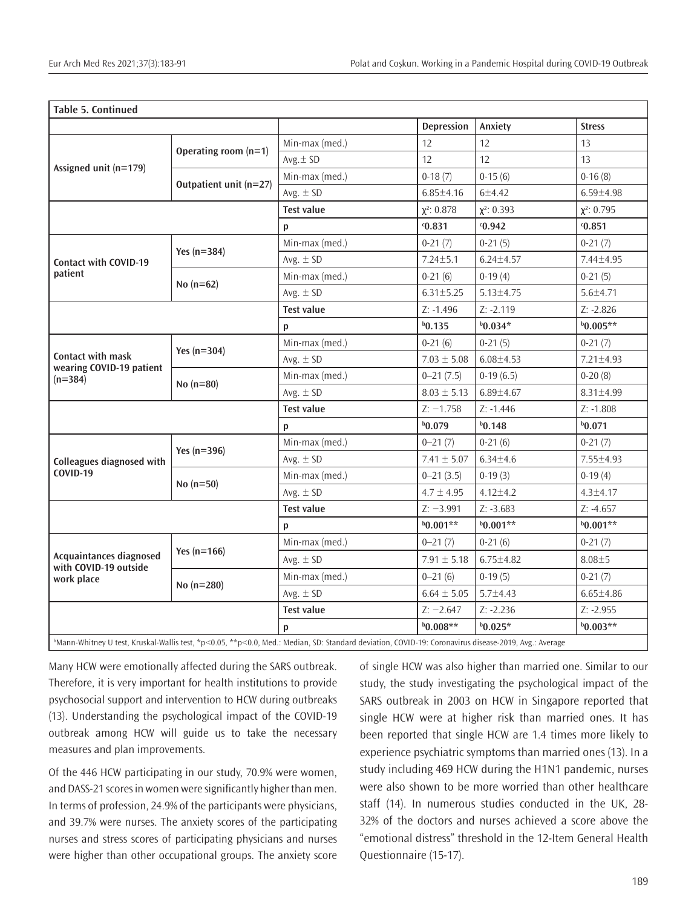| <b>Table 5. Continued</b>                                      |                        |                                                                                                                                                                    |                   |                  |                  |
|----------------------------------------------------------------|------------------------|--------------------------------------------------------------------------------------------------------------------------------------------------------------------|-------------------|------------------|------------------|
|                                                                |                        |                                                                                                                                                                    | <b>Depression</b> | Anxiety          | <b>Stress</b>    |
| Assigned unit $(n=179)$                                        | Operating room $(n=1)$ | Min-max (med.)                                                                                                                                                     | 12                | 12               | 13               |
|                                                                |                        | $Avg. \pm SD$                                                                                                                                                      | 12                | 12               | 13               |
|                                                                | Outpatient unit (n=27) | Min-max (med.)                                                                                                                                                     | $0-18(7)$         | $0-15(6)$        | $0-16(8)$        |
|                                                                |                        | Avg. $\pm$ SD                                                                                                                                                      | $6.85 \pm 4.16$   | 6±4.42           | $6.59 \pm 4.98$  |
|                                                                |                        | <b>Test value</b>                                                                                                                                                  | $\chi^2$ : 0.878  | $\chi^2$ : 0.393 | $\chi^2$ : 0.795 |
|                                                                |                        | p                                                                                                                                                                  | 0.831             | 0.942            | 0.851            |
|                                                                | Yes $(n=384)$          | Min-max (med.)                                                                                                                                                     | $0-21(7)$         | $0-21(5)$        | $0-21(7)$        |
| <b>Contact with COVID-19</b>                                   |                        | Avg. $\pm$ SD                                                                                                                                                      | $7.24 \pm 5.1$    | $6.24 \pm 4.57$  | 7.44±4.95        |
| patient                                                        | No $(n=62)$            | Min-max (med.)                                                                                                                                                     | $0-21(6)$         | $0-19(4)$        | $0-21(5)$        |
|                                                                |                        | Avg. $\pm$ SD                                                                                                                                                      | $6.31 \pm 5.25$   | $5.13 \pm 4.75$  | $5.6 + 4.71$     |
|                                                                |                        | <b>Test value</b>                                                                                                                                                  | $Z: -1.496$       | $Z: -2.119$      | $Z: -2.826$      |
|                                                                |                        | p                                                                                                                                                                  | $b$ 0.135         | $b0.034*$        | $b0.005**$       |
|                                                                | Yes $(n=304)$          | Min-max (med.)                                                                                                                                                     | $0-21(6)$         | $0-21(5)$        | $0-21(7)$        |
| Contact with mask<br>wearing COVID-19 patient                  |                        | Avg. $\pm$ SD                                                                                                                                                      | $7.03 \pm 5.08$   | $6.08 \pm 4.53$  | 7.21±4.93        |
| $(n=384)$                                                      | $No (n=80)$            | Min-max (med.)                                                                                                                                                     | $0 - 21(7.5)$     | $0-19(6.5)$      | $0-20(8)$        |
|                                                                |                        | Avg. $\pm$ SD                                                                                                                                                      | $8.03 \pm 5.13$   | $6.89 \pm 4.67$  | 8.31±4.99        |
|                                                                |                        | <b>Test value</b>                                                                                                                                                  | $Z: -1.758$       | $Z: -1.446$      | $Z: -1.808$      |
|                                                                |                        | p                                                                                                                                                                  | b0.079            | $b$ 0.148        | b0.071           |
|                                                                | Yes (n=396)            | Min-max (med.)                                                                                                                                                     | $0 - 21(7)$       | $0-21(6)$        | $0-21(7)$        |
| Colleagues diagnosed with                                      |                        | Avg. $\pm$ SD                                                                                                                                                      | $7.41 \pm 5.07$   | $6.34 \pm 4.6$   | 7.55±4.93        |
| <b>COVID-19</b>                                                | No $(n=50)$            | Min-max (med.)                                                                                                                                                     | $0 - 21(3.5)$     | $0-19(3)$        | $0-19(4)$        |
|                                                                |                        | Avg. $\pm$ SD                                                                                                                                                      | $4.7 \pm 4.95$    | $4.12 \pm 4.2$   | $4.3 \pm 4.17$   |
|                                                                |                        | <b>Test value</b>                                                                                                                                                  | $Z: -3.991$       | $Z: -3.683$      | $Z: -4.657$      |
|                                                                |                        | p                                                                                                                                                                  | $b0.001**$        | $b0.001**$       | $b0.001**$       |
| Acquaintances diagnosed<br>with COVID-19 outside<br>work place |                        | Min-max (med.)                                                                                                                                                     | $0 - 21(7)$       | $0-21(6)$        | $0-21(7)$        |
|                                                                | Yes $(n=166)$          | Avg. $\pm$ SD                                                                                                                                                      | $7.91 \pm 5.18$   | $6.75 \pm 4.82$  | $8.08 + 5$       |
|                                                                | No $(n=280)$           | Min-max (med.)                                                                                                                                                     | $0 - 21(6)$       | $0-19(5)$        | $0-21(7)$        |
|                                                                |                        | Avg. $\pm$ SD                                                                                                                                                      | $6.64 \pm 5.05$   | $5.7 \pm 4.43$   | $6.65 \pm 4.86$  |
|                                                                |                        | <b>Test value</b>                                                                                                                                                  | $Z: -2.647$       | $Z: -2.236$      | $Z: -2.955$      |
|                                                                |                        | p                                                                                                                                                                  | $b0.008**$        | $b0.025*$        | $b0.003**$       |
|                                                                |                        | Mann Whitney U test Kruskal Wallis test $\frac{k}{2}$ O 05 $\frac{k}{2}$ O 0 Med : Median SD: Standard deviation COVID 10; Coronavirus disease 2010, Avg : Average |                   |                  |                  |

| Mann-Whitney U test, Kruskal-Wallis test, \*p<0.05,  $\mathrm{\mathop{*}p}<$ 0.0, Med.: Median, SD: Standard deviation, COVID-19: Coronavirus disease-2019, Avg.: Average

Many HCW were emotionally affected during the SARS outbreak. Therefore, it is very important for health institutions to provide psychosocial support and intervention to HCW during outbreaks (13). Understanding the psychological impact of the COVID-19 outbreak among HCW will guide us to take the necessary measures and plan improvements.

Of the 446 HCW participating in our study, 70.9% were women, and DASS-21 scores in women were significantly higher than men. In terms of profession, 24.9% of the participants were physicians, and 39.7% were nurses. The anxiety scores of the participating nurses and stress scores of participating physicians and nurses were higher than other occupational groups. The anxiety score of single HCW was also higher than married one. Similar to our study, the study investigating the psychological impact of the SARS outbreak in 2003 on HCW in Singapore reported that single HCW were at higher risk than married ones. It has been reported that single HCW are 1.4 times more likely to experience psychiatric symptoms than married ones (13). In a study including 469 HCW during the H1N1 pandemic, nurses were also shown to be more worried than other healthcare staff (14). In numerous studies conducted in the UK, 28- 32% of the doctors and nurses achieved a score above the "emotional distress" threshold in the 12-Item General Health Questionnaire (15-17).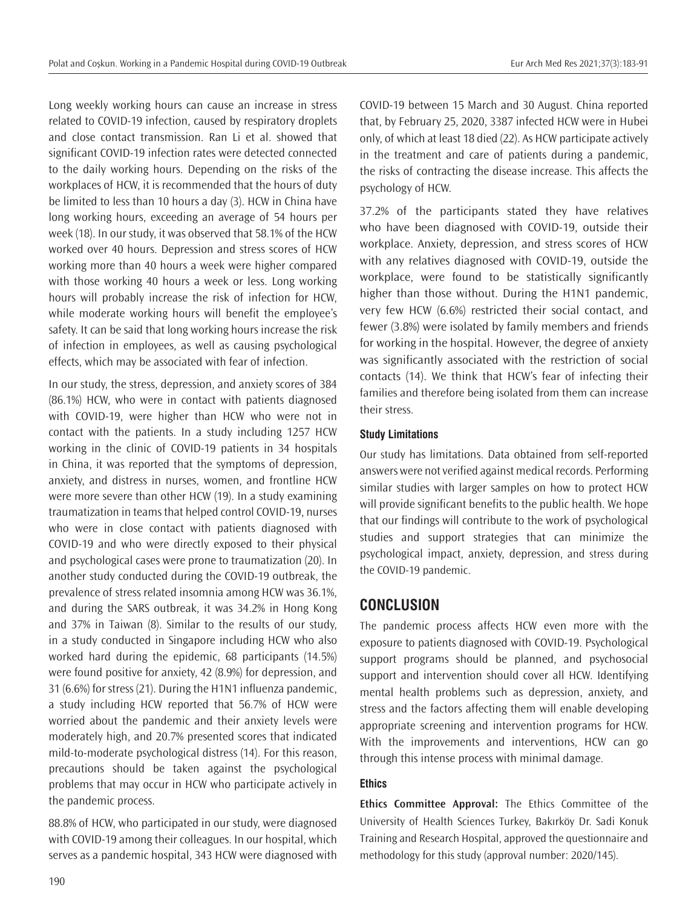Long weekly working hours can cause an increase in stress related to COVID-19 infection, caused by respiratory droplets and close contact transmission. Ran Li et al. showed that significant COVID-19 infection rates were detected connected to the daily working hours. Depending on the risks of the workplaces of HCW, it is recommended that the hours of duty be limited to less than 10 hours a day (3). HCW in China have long working hours, exceeding an average of 54 hours per week (18). In our study, it was observed that 58.1% of the HCW worked over 40 hours. Depression and stress scores of HCW working more than 40 hours a week were higher compared with those working 40 hours a week or less. Long working hours will probably increase the risk of infection for HCW, while moderate working hours will benefit the employee's safety. It can be said that long working hours increase the risk of infection in employees, as well as causing psychological effects, which may be associated with fear of infection.

In our study, the stress, depression, and anxiety scores of 384 (86.1%) HCW, who were in contact with patients diagnosed with COVID-19, were higher than HCW who were not in contact with the patients. In a study including 1257 HCW working in the clinic of COVID-19 patients in 34 hospitals in China, it was reported that the symptoms of depression, anxiety, and distress in nurses, women, and frontline HCW were more severe than other HCW (19). In a study examining traumatization in teams that helped control COVID-19, nurses who were in close contact with patients diagnosed with COVID-19 and who were directly exposed to their physical and psychological cases were prone to traumatization (20). In another study conducted during the COVID-19 outbreak, the prevalence of stress related insomnia among HCW was 36.1%, and during the SARS outbreak, it was 34.2% in Hong Kong and 37% in Taiwan (8). Similar to the results of our study, in a study conducted in Singapore including HCW who also worked hard during the epidemic, 68 participants (14.5%) were found positive for anxiety, 42 (8.9%) for depression, and 31 (6.6%) for stress (21). During the H1N1 influenza pandemic, a study including HCW reported that 56.7% of HCW were worried about the pandemic and their anxiety levels were moderately high, and 20.7% presented scores that indicated mild-to-moderate psychological distress (14). For this reason, precautions should be taken against the psychological problems that may occur in HCW who participate actively in the pandemic process.

88.8% of HCW, who participated in our study, were diagnosed with COVID-19 among their colleagues. In our hospital, which serves as a pandemic hospital, 343 HCW were diagnosed with

COVID-19 between 15 March and 30 August. China reported that, by February 25, 2020, 3387 infected HCW were in Hubei only, of which at least 18 died (22). As HCW participate actively in the treatment and care of patients during a pandemic, the risks of contracting the disease increase. This affects the psychology of HCW.

37.2% of the participants stated they have relatives who have been diagnosed with COVID-19, outside their workplace. Anxiety, depression, and stress scores of HCW with any relatives diagnosed with COVID-19, outside the workplace, were found to be statistically significantly higher than those without. During the H1N1 pandemic, very few HCW (6.6%) restricted their social contact, and fewer (3.8%) were isolated by family members and friends for working in the hospital. However, the degree of anxiety was significantly associated with the restriction of social contacts (14). We think that HCW's fear of infecting their families and therefore being isolated from them can increase their stress.

### **Study Limitations**

Our study has limitations. Data obtained from self-reported answers were not verified against medical records. Performing similar studies with larger samples on how to protect HCW will provide significant benefits to the public health. We hope that our findings will contribute to the work of psychological studies and support strategies that can minimize the psychological impact, anxiety, depression, and stress during the COVID-19 pandemic.

## **CONCLUSION**

The pandemic process affects HCW even more with the exposure to patients diagnosed with COVID-19. Psychological support programs should be planned, and psychosocial support and intervention should cover all HCW. Identifying mental health problems such as depression, anxiety, and stress and the factors affecting them will enable developing appropriate screening and intervention programs for HCW. With the improvements and interventions, HCW can go through this intense process with minimal damage.

## **Ethics**

**Ethics Committee Approval:** The Ethics Committee of the University of Health Sciences Turkey, Bakırköy Dr. Sadi Konuk Training and Research Hospital, approved the questionnaire and methodology for this study (approval number: 2020/145).